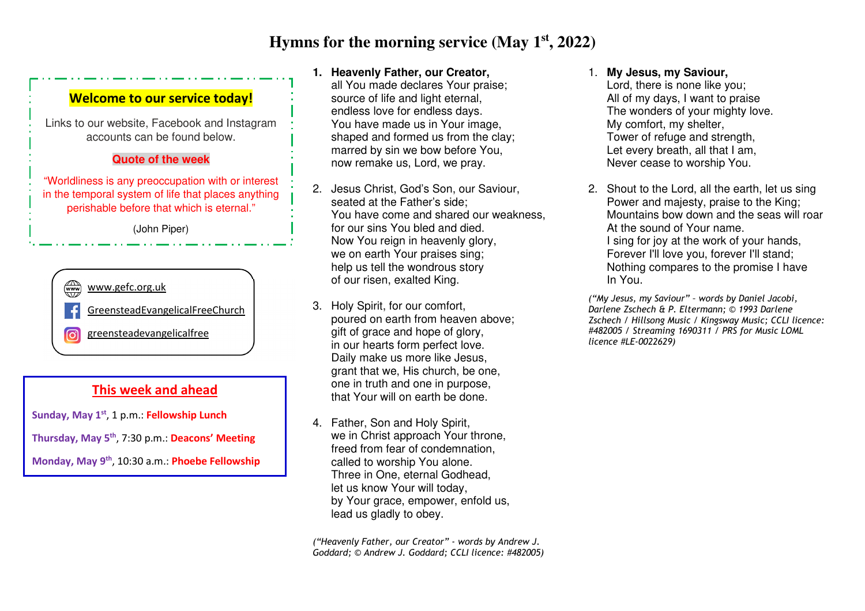# **Hymns for the morning service (May 1st, 2022)**

### **Welcome to our service today!**

Links to our website, Facebook and Instagram accounts can be found below.

#### **Quote of the week**

"Worldliness is any preoccupation with or interest in the temporal system of life that places anythingperishable before that which is eternal."

(John Piper)

### $\begin{matrix} \overbrace{\text{www}} \ \overbrace{\text{www}} \ \end{matrix}$ www.gefc.org.uk GreensteadEvangelicalFreeChurch greensteadevangelicalfree രി

### **This week and ahead**

**Sunday, May 1st**, 1 p.m.: **Fellowship Lunch** 

**Thursday, May 5th**, 7:30 p.m.: **Deacons' Meeting** 

**Monday, May 9th**, 10:30 a.m.: **Phoebe Fellowship** 

- **1. Heavenly Father, our Creator,**
- all You made declares Your praise; source of life and light eternal, endless love for endless days. You have made us in Your image, shaped and formed us from the clay; marred by sin we bow before You, now remake us, Lord, we pray.
- 2. Jesus Christ, God's Son, our Saviour, seated at the Father's side; You have come and shared our weakness, for our sins You bled and died. Now You reign in heavenly glory, we on earth Your praises sing; help us tell the wondrous story of our risen, exalted King.
- 3. Holy Spirit, for our comfort, poured on earth from heaven above; gift of grace and hope of glory, in our hearts form perfect love. Daily make us more like Jesus, grant that we, His church, be one, one in truth and one in purpose, that Your will on earth be done.
- 4. Father, Son and Holy Spirit, we in Christ approach Your throne, freed from fear of condemnation, called to worship You alone. Three in One, eternal Godhead, let us know Your will today, by Your grace, empower, enfold us, lead us gladly to obey.

*("Heavenly Father, our Creator" - words by Andrew J. Goddard; © Andrew J. Goddard; CCLI licence: #482005)* 

- 1. **My Jesus, my Saviour,**
	- Lord, there is none like you; All of my days, I want to praise The wonders of your mighty love. My comfort, my shelter, Tower of refuge and strength, Let every breath, all that I am, Never cease to worship You.
- 2. Shout to the Lord, all the earth, let us sing Power and majesty, praise to the King; Mountains bow down and the seas will roar At the sound of Your name. I sing for joy at the work of your hands, Forever I'll love you, forever I'll stand; Nothing compares to the promise I have In You.

*("My Jesus, my Saviour" – words by Daniel Jacobi, Darlene Zschech & P. Eltermann; © 1993 Darlene Zschech / Hillsong Music / Kingsway Music; CCLI licence: #482005 / Streaming 1690311 / PRS for Music LOML licence #LE-0022629)*